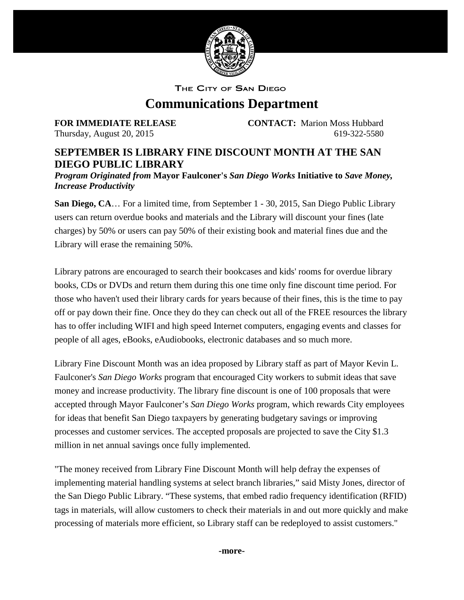

THE CITY OF SAN DIEGO

## **Communications Department**

**FOR IMMEDIATE RELEASE CONTACT:** Marion Moss Hubbard Thursday, August 20, 2015 619-322-5580

## **SEPTEMBER IS LIBRARY FINE DISCOUNT MONTH AT THE SAN DIEGO PUBLIC LIBRARY**

*Program Originated from* **Mayor Faulconer's** *San Diego Works* **Initiative to** *Save Money, Increase Productivity*

**San Diego, CA**… For a limited time, from September 1 - 30, 2015, San Diego Public Library users can return overdue books and materials and the Library will discount your fines (late charges) by 50% or users can pay 50% of their existing book and material fines due and the Library will erase the remaining 50%.

Library patrons are encouraged to search their bookcases and kids' rooms for overdue library books, CDs or DVDs and return them during this one time only fine discount time period. For those who haven't used their library cards for years because of their fines, this is the time to pay off or pay down their fine. Once they do they can check out all of the FREE resources the library has to offer including WIFI and high speed Internet computers, engaging events and classes for people of all ages, eBooks, eAudiobooks, electronic databases and so much more.

Library Fine Discount Month was an idea proposed by Library staff as part of Mayor Kevin L. Faulconer's *San Diego Works* program that encouraged City workers to submit ideas that save money and increase productivity. The library fine discount is one of 100 proposals that were accepted through Mayor Faulconer's *San Diego Works* program, which rewards City employees for ideas that benefit San Diego taxpayers by generating budgetary savings or improving processes and customer services. The accepted proposals are projected to save the City \$1.3 million in net annual savings once fully implemented.

"The money received from Library Fine Discount Month will help defray the expenses of implementing material handling systems at select branch libraries," said Misty Jones, director of the San Diego Public Library. "These systems, that embed radio frequency identification (RFID) tags in materials, will allow customers to check their materials in and out more quickly and make processing of materials more efficient, so Library staff can be redeployed to assist customers."